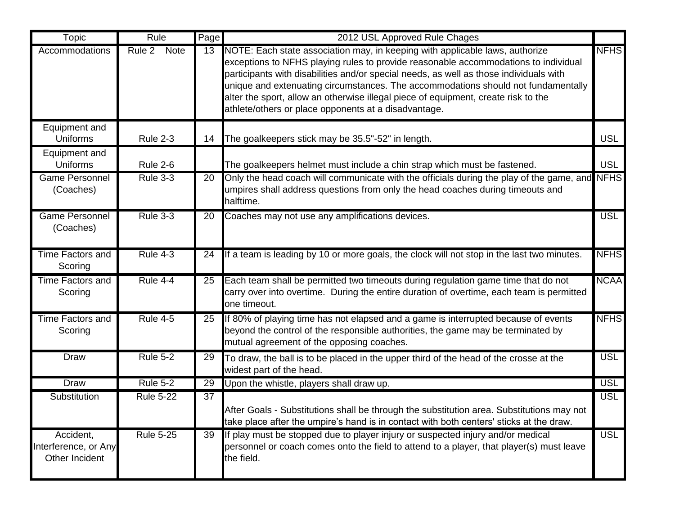| Topic                                                     | Rule                               | Page | 2012 USL Approved Rule Chages                                                                                                                                                                                                                                                                                                                                                                                                                                                                    |             |
|-----------------------------------------------------------|------------------------------------|------|--------------------------------------------------------------------------------------------------------------------------------------------------------------------------------------------------------------------------------------------------------------------------------------------------------------------------------------------------------------------------------------------------------------------------------------------------------------------------------------------------|-------------|
| Accommodations                                            | Rule 2<br><b>Note</b>              | 13   | NOTE: Each state association may, in keeping with applicable laws, authorize<br>exceptions to NFHS playing rules to provide reasonable accommodations to individual<br>participants with disabilities and/or special needs, as well as those individuals with<br>unique and extenuating circumstances. The accommodations should not fundamentally<br>alter the sport, allow an otherwise illegal piece of equipment, create risk to the<br>athlete/others or place opponents at a disadvantage. | <b>NFHS</b> |
| Equipment and<br><b>Uniforms</b>                          | <b>Rule 2-3</b>                    |      | 14 The goalkeepers stick may be 35.5"-52" in length.                                                                                                                                                                                                                                                                                                                                                                                                                                             | <b>USL</b>  |
| Equipment and<br><b>Uniforms</b><br><b>Game Personnel</b> | <b>Rule 2-6</b><br><b>Rule 3-3</b> | 20   | The goalkeepers helmet must include a chin strap which must be fastened.<br>Only the head coach will communicate with the officials during the play of the game, and NFHS                                                                                                                                                                                                                                                                                                                        | <b>USL</b>  |
| (Coaches)                                                 |                                    |      | umpires shall address questions from only the head coaches during timeouts and<br>halftime.                                                                                                                                                                                                                                                                                                                                                                                                      |             |
| <b>Game Personnel</b><br>(Coaches)                        | <b>Rule 3-3</b>                    | 20   | Coaches may not use any amplifications devices.                                                                                                                                                                                                                                                                                                                                                                                                                                                  | <b>USL</b>  |
| <b>Time Factors and</b><br>Scoring                        | <b>Rule 4-3</b>                    | 24   | If a team is leading by 10 or more goals, the clock will not stop in the last two minutes.                                                                                                                                                                                                                                                                                                                                                                                                       | <b>NFHS</b> |
| <b>Time Factors and</b><br>Scoring                        | Rule 4-4                           | 25   | Each team shall be permitted two timeouts during regulation game time that do not<br>carry over into overtime. During the entire duration of overtime, each team is permitted<br>one timeout.                                                                                                                                                                                                                                                                                                    | <b>NCAA</b> |
| Time Factors and<br>Scoring                               | <b>Rule 4-5</b>                    | 25   | If 80% of playing time has not elapsed and a game is interrupted because of events<br>beyond the control of the responsible authorities, the game may be terminated by<br>mutual agreement of the opposing coaches.                                                                                                                                                                                                                                                                              | <b>NFHS</b> |
| Draw                                                      | <b>Rule 5-2</b>                    | 29   | To draw, the ball is to be placed in the upper third of the head of the crosse at the<br>widest part of the head.                                                                                                                                                                                                                                                                                                                                                                                | <b>USL</b>  |
| <b>Draw</b>                                               | <b>Rule 5-2</b>                    | 29   | Upon the whistle, players shall draw up.                                                                                                                                                                                                                                                                                                                                                                                                                                                         | <b>USL</b>  |
| Substitution                                              | <b>Rule 5-22</b>                   | 37   | After Goals - Substitutions shall be through the substitution area. Substitutions may not<br>take place after the umpire's hand is in contact with both centers' sticks at the draw.                                                                                                                                                                                                                                                                                                             | <b>USL</b>  |
| Accident,<br>Interference, or Any<br>Other Incident       | <b>Rule 5-25</b>                   | 39   | If play must be stopped due to player injury or suspected injury and/or medical<br>personnel or coach comes onto the field to attend to a player, that player(s) must leave<br>the field.                                                                                                                                                                                                                                                                                                        | <b>USL</b>  |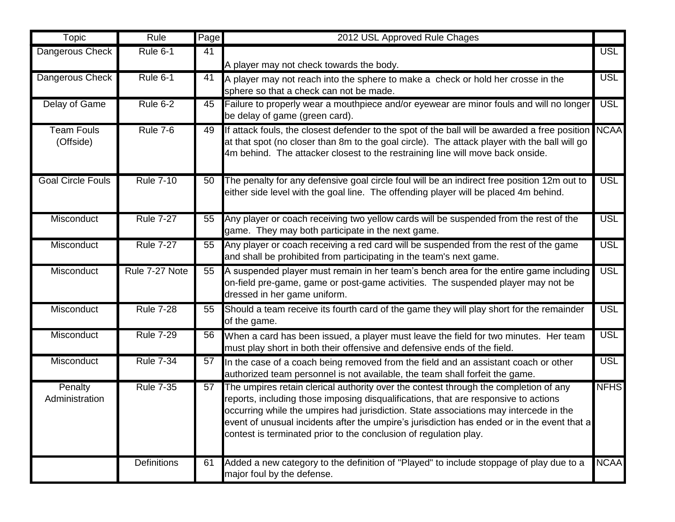| Topic                          | Rule               | Page | 2012 USL Approved Rule Chages                                                                                                                                                                                                                                                                                                                                                                                                            |             |
|--------------------------------|--------------------|------|------------------------------------------------------------------------------------------------------------------------------------------------------------------------------------------------------------------------------------------------------------------------------------------------------------------------------------------------------------------------------------------------------------------------------------------|-------------|
| Dangerous Check                | Rule 6-1           | 41   | A player may not check towards the body.                                                                                                                                                                                                                                                                                                                                                                                                 | <b>USL</b>  |
| Dangerous Check                | <b>Rule 6-1</b>    | 41   | A player may not reach into the sphere to make a check or hold her crosse in the<br>sphere so that a check can not be made.                                                                                                                                                                                                                                                                                                              | <b>USL</b>  |
| Delay of Game                  | <b>Rule 6-2</b>    | 45   | Failure to properly wear a mouthpiece and/or eyewear are minor fouls and will no longer<br>be delay of game (green card).                                                                                                                                                                                                                                                                                                                | <b>USL</b>  |
| <b>Team Fouls</b><br>(Offside) | <b>Rule 7-6</b>    | 49   | If attack fouls, the closest defender to the spot of the ball will be awarded a free position NCAA<br>at that spot (no closer than 8m to the goal circle). The attack player with the ball will go<br>4m behind. The attacker closest to the restraining line will move back onside.                                                                                                                                                     |             |
| <b>Goal Circle Fouls</b>       | <b>Rule 7-10</b>   | 50   | The penalty for any defensive goal circle foul will be an indirect free position 12m out to<br>either side level with the goal line. The offending player will be placed 4m behind.                                                                                                                                                                                                                                                      | <b>USL</b>  |
| Misconduct                     | <b>Rule 7-27</b>   | 55   | Any player or coach receiving two yellow cards will be suspended from the rest of the<br>game. They may both participate in the next game.                                                                                                                                                                                                                                                                                               | <b>USL</b>  |
| Misconduct                     | <b>Rule 7-27</b>   | 55   | Any player or coach receiving a red card will be suspended from the rest of the game<br>and shall be prohibited from participating in the team's next game.                                                                                                                                                                                                                                                                              | <b>USL</b>  |
| Misconduct                     | Rule 7-27 Note     | 55   | A suspended player must remain in her team's bench area for the entire game including<br>on-field pre-game, game or post-game activities. The suspended player may not be<br>dressed in her game uniform.                                                                                                                                                                                                                                | <b>USL</b>  |
| Misconduct                     | <b>Rule 7-28</b>   | 55   | Should a team receive its fourth card of the game they will play short for the remainder<br>of the game.                                                                                                                                                                                                                                                                                                                                 | <b>USL</b>  |
| Misconduct                     | <b>Rule 7-29</b>   | 56   | When a card has been issued, a player must leave the field for two minutes. Her team<br>must play short in both their offensive and defensive ends of the field.                                                                                                                                                                                                                                                                         | <b>USL</b>  |
| Misconduct                     | <b>Rule 7-34</b>   | 57   | In the case of a coach being removed from the field and an assistant coach or other<br>authorized team personnel is not available, the team shall forfeit the game.                                                                                                                                                                                                                                                                      | <b>USL</b>  |
| Penalty<br>Administration      | <b>Rule 7-35</b>   | 57   | The umpires retain clerical authority over the contest through the completion of any<br>reports, including those imposing disqualifications, that are responsive to actions<br>occurring while the umpires had jurisdiction. State associations may intercede in the<br>event of unusual incidents after the umpire's jurisdiction has ended or in the event that a<br>contest is terminated prior to the conclusion of regulation play. | <b>NFHS</b> |
|                                | <b>Definitions</b> | 61   | Added a new category to the definition of "Played" to include stoppage of play due to a<br>major foul by the defense.                                                                                                                                                                                                                                                                                                                    | <b>NCAA</b> |